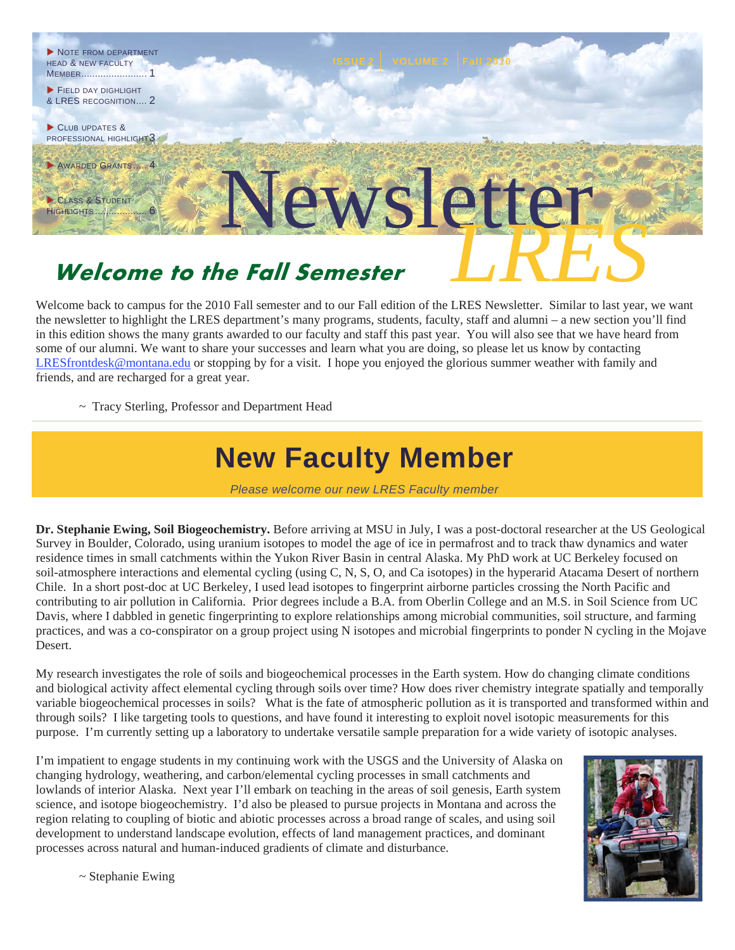

Welcome back to campus for the 2010 Fall semester and to our Fall edition of the LRES Newsletter. Similar to last year, we want the newsletter to highlight the LRES department's many programs, students, faculty, staff and alumni – a new section you'll find in this edition shows the many grants awarded to our faculty and staff this past year. You will also see that we have heard from some of our alumni. We want to share your successes and learn what you are doing, so please let us know by contacting LRESfrontdesk@montana.edu or stopping by for a visit. I hope you enjoyed the glorious summer weather with family and friends, and are recharged for a great year.

~ Tracy Sterling, Professor and Department Head

## **New Faculty Member**

*Please welcome our new LRES Faculty member* 

**Dr. Stephanie Ewing, Soil Biogeochemistry.** Before arriving at MSU in July, I was a post-doctoral researcher at the US Geological Survey in Boulder, Colorado, using uranium isotopes to model the age of ice in permafrost and to track thaw dynamics and water residence times in small catchments within the Yukon River Basin in central Alaska. My PhD work at UC Berkeley focused on soil-atmosphere interactions and elemental cycling (using C, N, S, O, and Ca isotopes) in the hyperarid Atacama Desert of northern Chile. In a short post-doc at UC Berkeley, I used lead isotopes to fingerprint airborne particles crossing the North Pacific and contributing to air pollution in California. Prior degrees include a B.A. from Oberlin College and an M.S. in Soil Science from UC Davis, where I dabbled in genetic fingerprinting to explore relationships among microbial communities, soil structure, and farming practices, and was a co-conspirator on a group project using N isotopes and microbial fingerprints to ponder N cycling in the Mojave Desert.

My research investigates the role of soils and biogeochemical processes in the Earth system. How do changing climate conditions and biological activity affect elemental cycling through soils over time? How does river chemistry integrate spatially and temporally variable biogeochemical processes in soils? What is the fate of atmospheric pollution as it is transported and transformed within and through soils? I like targeting tools to questions, and have found it interesting to exploit novel isotopic measurements for this purpose. I'm currently setting up a laboratory to undertake versatile sample preparation for a wide variety of isotopic analyses.

I'm impatient to engage students in my continuing work with the USGS and the University of Alaska on changing hydrology, weathering, and carbon/elemental cycling processes in small catchments and lowlands of interior Alaska. Next year I'll embark on teaching in the areas of soil genesis, Earth system science, and isotope biogeochemistry. I'd also be pleased to pursue projects in Montana and across the region relating to coupling of biotic and abiotic processes across a broad range of scales, and using soil development to understand landscape evolution, effects of land management practices, and dominant processes across natural and human-induced gradients of climate and disturbance.



 $\sim$  Stephanie Ewing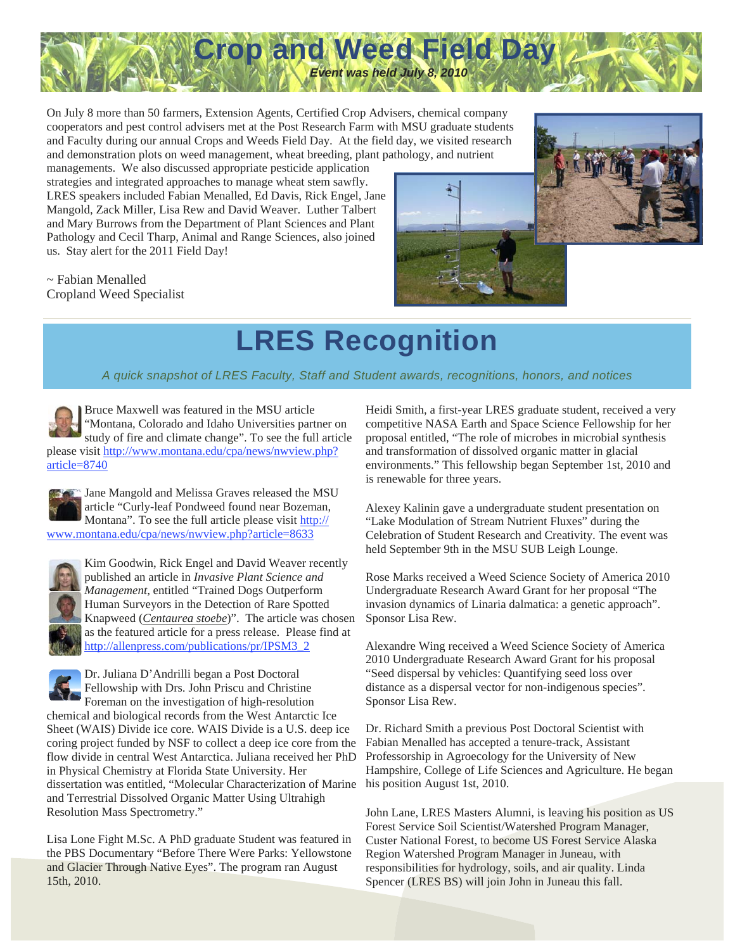

On July 8 more than 50 farmers, Extension Agents, Certified Crop Advisers, chemical company cooperators and pest control advisers met at the Post Research Farm with MSU graduate students and Faculty during our annual Crops and Weeds Field Day. At the field day, we visited research and demonstration plots on weed management, wheat breeding, plant pathology, and nutrient

managements. We also discussed appropriate pesticide application strategies and integrated approaches to manage wheat stem sawfly. LRES speakers included Fabian Menalled, Ed Davis, Rick Engel, Jane Mangold, Zack Miller, Lisa Rew and David Weaver. Luther Talbert and Mary Burrows from the Department of Plant Sciences and Plant Pathology and Cecil Tharp, Animal and Range Sciences, also joined us. Stay alert for the 2011 Field Day!

~ Fabian Menalled Cropland Weed Specialist





## **LRES Recognition**

*A quick snapshot of LRES Faculty, Staff and Student awards, recognitions, honors, and notices* 

Bruce Maxwell was featured in the MSU article "Montana, Colorado and Idaho Universities partner on study of fire and climate change". To see the full article please visit http://www.montana.edu/cpa/news/nwview.php? article=8740

Jane Mangold and Melissa Graves released the MSU article "Curly-leaf Pondweed found near Bozeman, Montana". To see the full article please visit http:// www.montana.edu/cpa/news/nwview.php?article=8633



Kim Goodwin, Rick Engel and David Weaver recently published an article in *Invasive Plant Science and Management*, entitled "Trained Dogs Outperform Human Surveyors in the Detection of Rare Spotted Knapweed (*Centaurea stoebe*)". The article was chosen as the featured article for a press release. Please find at http://allenpress.com/publications/pr/IPSM3\_2

Dr. Juliana D'Andrilli began a Post Doctoral Fellowship with Drs. John Priscu and Christine Foreman on the investigation of high-resolution

chemical and biological records from the West Antarctic Ice Sheet (WAIS) Divide ice core. WAIS Divide is a U.S. deep ice coring project funded by NSF to collect a deep ice core from the flow divide in central West Antarctica. Juliana received her PhD in Physical Chemistry at Florida State University. Her dissertation was entitled, "Molecular Characterization of Marine and Terrestrial Dissolved Organic Matter Using Ultrahigh Resolution Mass Spectrometry."

Lisa Lone Fight M.Sc. A PhD graduate Student was featured in the PBS Documentary "Before There Were Parks: Yellowstone and Glacier Through Native Eyes". The program ran August 15th, 2010.

Heidi Smith, a first-year LRES graduate student, received a very competitive NASA Earth and Space Science Fellowship for her proposal entitled, "The role of microbes in microbial synthesis and transformation of dissolved organic matter in glacial environments." This fellowship began September 1st, 2010 and is renewable for three years.

Alexey Kalinin gave a undergraduate student presentation on "Lake Modulation of Stream Nutrient Fluxes" during the Celebration of Student Research and Creativity. The event was held September 9th in the MSU SUB Leigh Lounge.

Rose Marks received a Weed Science Society of America 2010 Undergraduate Research Award Grant for her proposal "The invasion dynamics of Linaria dalmatica: a genetic approach". Sponsor Lisa Rew.

Alexandre Wing received a Weed Science Society of America 2010 Undergraduate Research Award Grant for his proposal "Seed dispersal by vehicles: Quantifying seed loss over distance as a dispersal vector for non-indigenous species". Sponsor Lisa Rew.

Dr. Richard Smith a previous Post Doctoral Scientist with Fabian Menalled has accepted a tenure-track, Assistant Professorship in Agroecology for the University of New Hampshire, College of Life Sciences and Agriculture. He began his position August 1st, 2010.

John Lane, LRES Masters Alumni, is leaving his position as US Forest Service Soil Scientist/Watershed Program Manager, Custer National Forest, to become US Forest Service Alaska Region Watershed Program Manager in Juneau, with responsibilities for hydrology, soils, and air quality. Linda Spencer (LRES BS) will join John in Juneau this fall.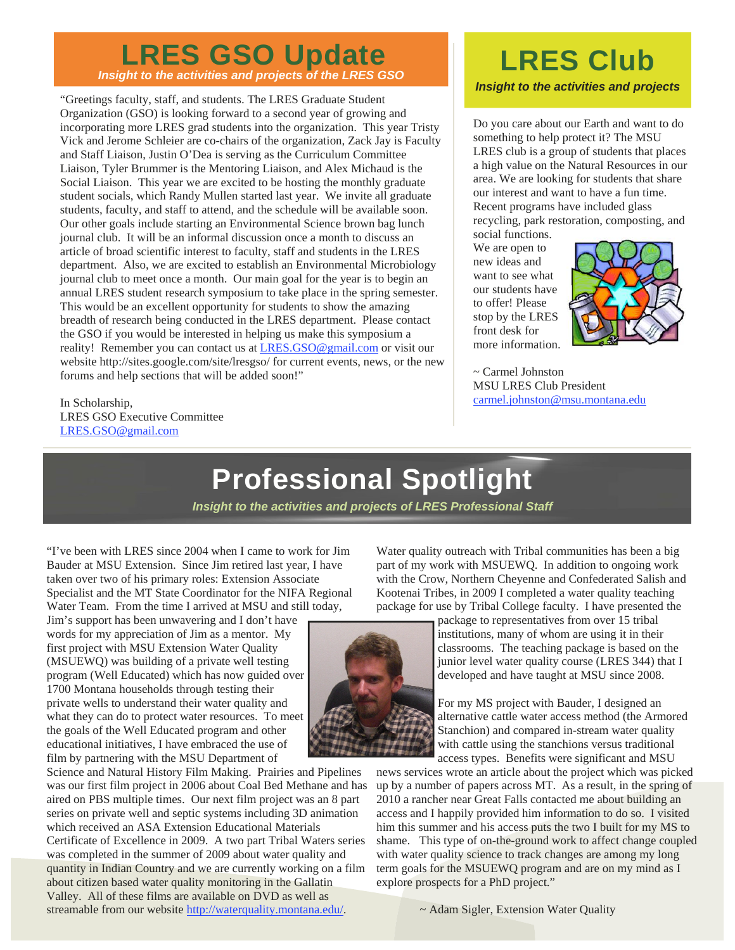### *Insight to the activities and projects of the LRES GSO*  **LRES GSO Update**

"Greetings faculty, staff, and students. The LRES Graduate Student Organization (GSO) is looking forward to a second year of growing and incorporating more LRES grad students into the organization. This year Tristy Vick and Jerome Schleier are co-chairs of the organization, Zack Jay is Faculty and Staff Liaison, Justin O'Dea is serving as the Curriculum Committee Liaison, Tyler Brummer is the Mentoring Liaison, and Alex Michaud is the Social Liaison. This year we are excited to be hosting the monthly graduate student socials, which Randy Mullen started last year. We invite all graduate students, faculty, and staff to attend, and the schedule will be available soon. Our other goals include starting an Environmental Science brown bag lunch journal club. It will be an informal discussion once a month to discuss an article of broad scientific interest to faculty, staff and students in the LRES department. Also, we are excited to establish an Environmental Microbiology journal club to meet once a month. Our main goal for the year is to begin an annual LRES student research symposium to take place in the spring semester. This would be an excellent opportunity for students to show the amazing breadth of research being conducted in the LRES department. Please contact the GSO if you would be interested in helping us make this symposium a reality! Remember you can contact us at LRES.GSO@gmail.com or visit our website http://sites.google.com/site/lresgso/ for current events, news, or the new forums and help sections that will be added soon!"

In Scholarship, LRES GSO Executive Committee LRES.GSO@gmail.com

### *Insight to the activities and projects*  **LRES Club**

Do you care about our Earth and want to do something to help protect it? The MSU LRES club is a group of students that places a high value on the Natural Resources in our area. We are looking for students that share our interest and want to have a fun time. Recent programs have included glass recycling, park restoration, composting, and

social functions. We are open to new ideas and want to see what our students have to offer! Please stop by the LRES front desk for more information.



~ Carmel Johnston MSU LRES Club President carmel.johnston@msu.montana.edu

## **Professional Spotlight**

*Insight to the activities and projects of LRES Professional Staff* 

"I've been with LRES since 2004 when I came to work for Jim Bauder at MSU Extension. Since Jim retired last year, I have taken over two of his primary roles: Extension Associate Specialist and the MT State Coordinator for the NIFA Regional Water Team. From the time I arrived at MSU and still today,

Jim's support has been unwavering and I don't have words for my appreciation of Jim as a mentor. My first project with MSU Extension Water Quality (MSUEWQ) was building of a private well testing program (Well Educated) which has now guided over 1700 Montana households through testing their private wells to understand their water quality and what they can do to protect water resources. To meet the goals of the Well Educated program and other educational initiatives, I have embraced the use of film by partnering with the MSU Department of

Science and Natural History Film Making. Prairies and Pipelines was our first film project in 2006 about Coal Bed Methane and has aired on PBS multiple times. Our next film project was an 8 part series on private well and septic systems including 3D animation which received an ASA Extension Educational Materials Certificate of Excellence in 2009. A two part Tribal Waters series was completed in the summer of 2009 about water quality and quantity in Indian Country and we are currently working on a film about citizen based water quality monitoring in the Gallatin Valley. All of these films are available on DVD as well as streamable from our website http://waterquality.montana.edu/.

Water quality outreach with Tribal communities has been a big part of my work with MSUEWQ. In addition to ongoing work with the Crow, Northern Cheyenne and Confederated Salish and Kootenai Tribes, in 2009 I completed a water quality teaching package for use by Tribal College faculty. I have presented the



package to representatives from over 15 tribal institutions, many of whom are using it in their classrooms. The teaching package is based on the junior level water quality course (LRES 344) that I developed and have taught at MSU since 2008.

For my MS project with Bauder, I designed an alternative cattle water access method (the Armored Stanchion) and compared in-stream water quality with cattle using the stanchions versus traditional access types. Benefits were significant and MSU

news services wrote an article about the project which was picked up by a number of papers across MT. As a result, in the spring of 2010 a rancher near Great Falls contacted me about building an access and I happily provided him information to do so. I visited him this summer and his access puts the two I built for my MS to shame. This type of on-the-ground work to affect change coupled with water quality science to track changes are among my long term goals for the MSUEWQ program and are on my mind as I explore prospects for a PhD project."

~ Adam Sigler, Extension Water Quality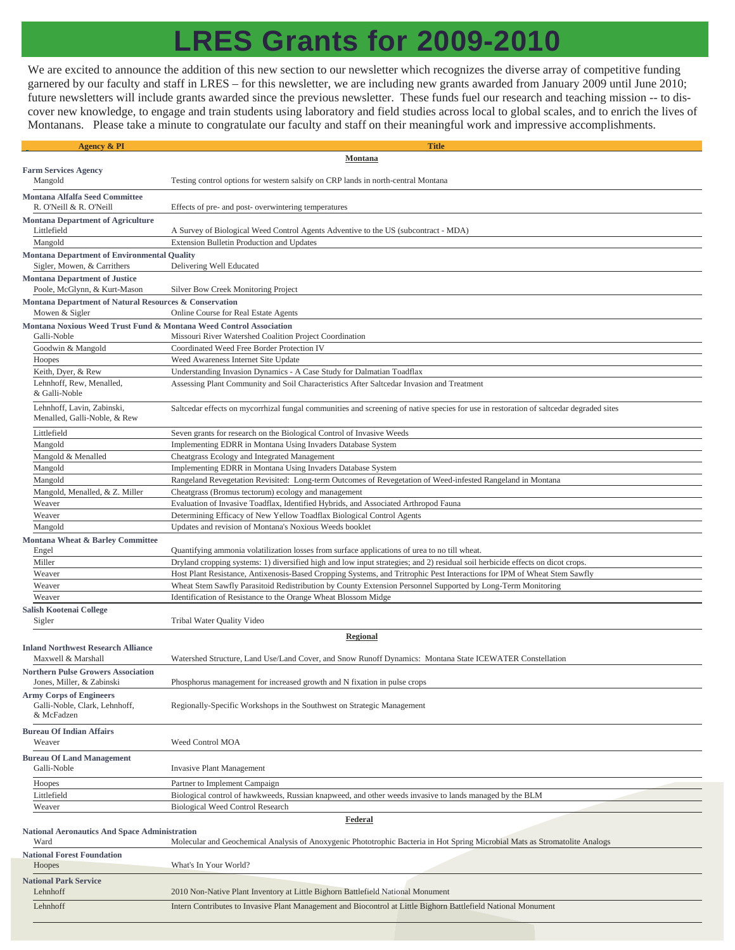## **LRES Grants for 2009-2010**

We are excited to announce the addition of this new section to our newsletter which recognizes the diverse array of competitive funding garnered by our faculty and staff in LRES – for this newsletter, we are including new grants awarded from January 2009 until June 2010; future newsletters will include grants awarded since the previous newsletter. These funds fuel our research and teaching mission -- to discover new knowledge, to engage and train students using laboratory and field studies across local to global scales, and to enrich the lives of Montanans. Please take a minute to congratulate our faculty and staff on their meaningful work and impressive accomplishments.

| <b>Agency &amp; PI</b>                                                                                           | <b>Title</b>                                                                                                                           |
|------------------------------------------------------------------------------------------------------------------|----------------------------------------------------------------------------------------------------------------------------------------|
| Montana                                                                                                          |                                                                                                                                        |
| <b>Farm Services Agency</b>                                                                                      |                                                                                                                                        |
| Mangold                                                                                                          | Testing control options for western salsify on CRP lands in north-central Montana                                                      |
| <b>Montana Alfalfa Seed Committee</b>                                                                            |                                                                                                                                        |
| R. O'Neill & R. O'Neill                                                                                          | Effects of pre- and post- overwintering temperatures                                                                                   |
| <b>Montana Department of Agriculture</b>                                                                         |                                                                                                                                        |
| Littlefield                                                                                                      | A Survey of Biological Weed Control Agents Adventive to the US (subcontract - MDA)                                                     |
| Mangold                                                                                                          | Extension Bulletin Production and Updates                                                                                              |
| <b>Montana Department of Environmental Quality</b>                                                               |                                                                                                                                        |
| Sigler, Mowen, & Carrithers                                                                                      | Delivering Well Educated                                                                                                               |
| <b>Montana Department of Justice</b>                                                                             |                                                                                                                                        |
| Poole, McGlynn, & Kurt-Mason                                                                                     | Silver Bow Creek Monitoring Project                                                                                                    |
| Montana Department of Natural Resources & Conservation<br>Mowen & Sigler<br>Online Course for Real Estate Agents |                                                                                                                                        |
| Montana Noxious Weed Trust Fund & Montana Weed Control Association                                               |                                                                                                                                        |
| Galli-Noble                                                                                                      | Missouri River Watershed Coalition Project Coordination                                                                                |
| Goodwin & Mangold                                                                                                | Coordinated Weed Free Border Protection IV                                                                                             |
| Hoopes                                                                                                           | Weed Awareness Internet Site Update                                                                                                    |
| Keith, Dyer, & Rew                                                                                               | Understanding Invasion Dynamics - A Case Study for Dalmatian Toadflax                                                                  |
| Lehnhoff, Rew, Menalled,                                                                                         | Assessing Plant Community and Soil Characteristics After Saltcedar Invasion and Treatment                                              |
| & Galli-Noble                                                                                                    |                                                                                                                                        |
| Lehnhoff, Lavin, Zabinski,                                                                                       | Saltcedar effects on mycorrhizal fungal communities and screening of native species for use in restoration of saltcedar degraded sites |
| Menalled, Galli-Noble, & Rew                                                                                     |                                                                                                                                        |
| Littlefield                                                                                                      | Seven grants for research on the Biological Control of Invasive Weeds                                                                  |
| Mangold                                                                                                          | Implementing EDRR in Montana Using Invaders Database System                                                                            |
| Mangold & Menalled                                                                                               | Cheatgrass Ecology and Integrated Management                                                                                           |
| Mangold                                                                                                          | Implementing EDRR in Montana Using Invaders Database System                                                                            |
| Mangold                                                                                                          | Rangeland Revegetation Revisited: Long-term Outcomes of Revegetation of Weed-infested Rangeland in Montana                             |
| Mangold, Menalled, & Z. Miller                                                                                   | Cheatgrass (Bromus tectorum) ecology and management                                                                                    |
| Weaver                                                                                                           | Evaluation of Invasive Toadflax, Identified Hybrids, and Associated Arthropod Fauna                                                    |
| Weaver                                                                                                           | Determining Efficacy of New Yellow Toadflax Biological Control Agents<br>Updates and revision of Montana's Noxious Weeds booklet       |
| Mangold                                                                                                          |                                                                                                                                        |
| Montana Wheat & Barley Committee<br>Engel                                                                        | Quantifying ammonia volatilization losses from surface applications of urea to no till wheat.                                          |
| Miller                                                                                                           | Dryland cropping systems: 1) diversified high and low input strategies; and 2) residual soil herbicide effects on dicot crops.         |
| Weaver                                                                                                           | Host Plant Resistance, Antixenosis-Based Cropping Systems, and Tritrophic Pest Interactions for IPM of Wheat Stem Sawfly               |
| Weaver                                                                                                           | Wheat Stem Sawfly Parasitoid Redistribution by County Extension Personnel Supported by Long-Term Monitoring                            |
| Weaver                                                                                                           | Identification of Resistance to the Orange Wheat Blossom Midge                                                                         |
| Salish Kootenai College                                                                                          |                                                                                                                                        |
| Sigler                                                                                                           | Tribal Water Quality Video                                                                                                             |
| <b>Regional</b>                                                                                                  |                                                                                                                                        |
| <b>Inland Northwest Research Alliance</b>                                                                        |                                                                                                                                        |
| Maxwell & Marshall                                                                                               | Watershed Structure, Land Use/Land Cover, and Snow Runoff Dynamics: Montana State ICEWATER Constellation                               |
| <b>Northern Pulse Growers Association</b>                                                                        |                                                                                                                                        |
| Jones, Miller, & Zabinski                                                                                        | Phosphorus management for increased growth and N fixation in pulse crops                                                               |
| <b>Army Corps of Engineers</b>                                                                                   |                                                                                                                                        |
| Galli-Noble, Clark, Lehnhoff,<br>& McFadzen                                                                      | Regionally-Specific Workshops in the Southwest on Strategic Management                                                                 |
|                                                                                                                  |                                                                                                                                        |
| <b>Bureau Of Indian Affairs</b><br>Weaver                                                                        | Weed Control MOA                                                                                                                       |
|                                                                                                                  |                                                                                                                                        |
| <b>Bureau Of Land Management</b>                                                                                 |                                                                                                                                        |
| Galli-Noble                                                                                                      | <b>Invasive Plant Management</b>                                                                                                       |
| Hoopes                                                                                                           | Partner to Implement Campaign                                                                                                          |
| Littlefield                                                                                                      | Biological control of hawkweeds, Russian knapweed, and other weeds invasive to lands managed by the BLM                                |
| Weaver                                                                                                           | <b>Biological Weed Control Research</b>                                                                                                |
| <b>Federal</b><br><b>National Aeronautics And Space Administration</b>                                           |                                                                                                                                        |
| Ward                                                                                                             | Molecular and Geochemical Analysis of Anoxygenic Phototrophic Bacteria in Hot Spring Microbial Mats as Stromatolite Analogs            |
| <b>National Forest Foundation</b>                                                                                |                                                                                                                                        |
| Hoopes                                                                                                           | What's In Your World?                                                                                                                  |
| <b>National Park Service</b>                                                                                     |                                                                                                                                        |
| Lehnhoff                                                                                                         | 2010 Non-Native Plant Inventory at Little Bighorn Battlefield National Monument                                                        |
| Lehnhoff                                                                                                         | Intern Contributes to Invasive Plant Management and Biocontrol at Little Bighorn Battlefield National Monument                         |
|                                                                                                                  |                                                                                                                                        |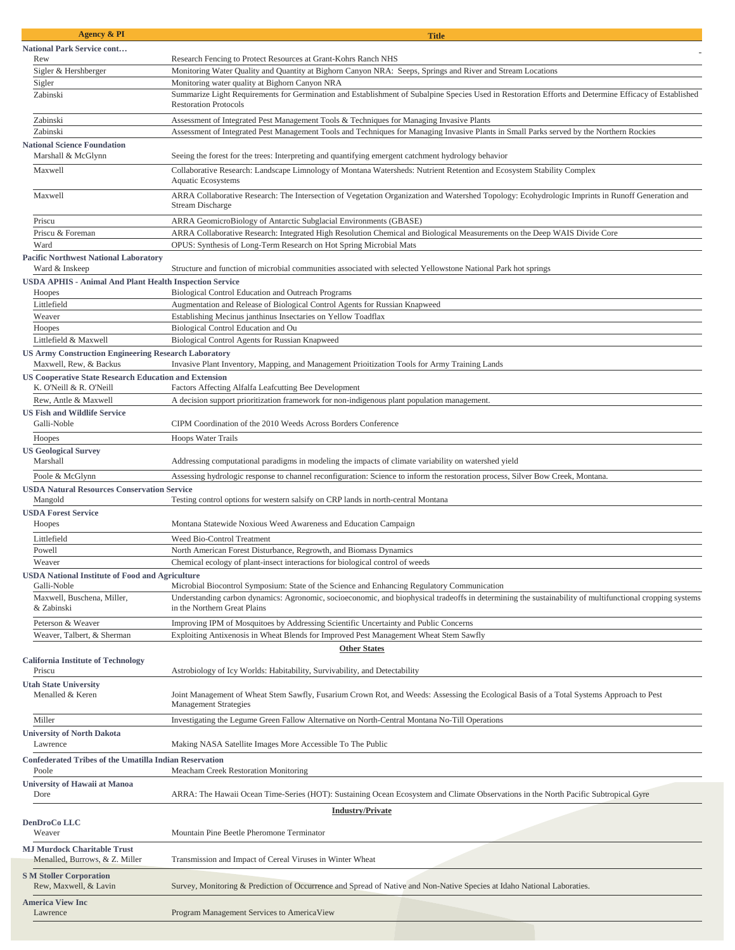| <b>Agency &amp; PI</b>                                                                | <b>Title</b>                                                                                                                                                                             |
|---------------------------------------------------------------------------------------|------------------------------------------------------------------------------------------------------------------------------------------------------------------------------------------|
| <b>National Park Service cont</b>                                                     |                                                                                                                                                                                          |
| Rew                                                                                   | Research Fencing to Protect Resources at Grant-Kohrs Ranch NHS                                                                                                                           |
| Sigler & Hershberger                                                                  | Monitoring Water Quality and Quantity at Bighorn Canyon NRA: Seeps, Springs and River and Stream Locations                                                                               |
| Sigler<br>Zabinski                                                                    | Monitoring water quality at Bighorn Canyon NRA                                                                                                                                           |
|                                                                                       | Summarize Light Requirements for Germination and Establishment of Subalpine Species Used in Restoration Efforts and Determine Efficacy of Established<br><b>Restoration Protocols</b>    |
| Zabinski                                                                              | Assessment of Integrated Pest Management Tools & Techniques for Managing Invasive Plants                                                                                                 |
| Zabinski                                                                              | Assessment of Integrated Pest Management Tools and Techniques for Managing Invasive Plants in Small Parks served by the Northern Rockies                                                 |
| <b>National Science Foundation</b><br>Marshall & McGlynn                              | Seeing the forest for the trees: Interpreting and quantifying emergent catchment hydrology behavior                                                                                      |
| Maxwell                                                                               | Collaborative Research: Landscape Limnology of Montana Watersheds: Nutrient Retention and Ecosystem Stability Complex<br>Aquatic Ecosystems                                              |
| Maxwell                                                                               | ARRA Collaborative Research: The Intersection of Vegetation Organization and Watershed Topology: Ecohydrologic Imprints in Runoff Generation and<br><b>Stream Discharge</b>              |
| Priscu                                                                                | ARRA GeomicroBiology of Antarctic Subglacial Environments (GBASE)                                                                                                                        |
| Priscu & Foreman                                                                      | ARRA Collaborative Research: Integrated High Resolution Chemical and Biological Measurements on the Deep WAIS Divide Core                                                                |
| Ward                                                                                  | OPUS: Synthesis of Long-Term Research on Hot Spring Microbial Mats                                                                                                                       |
| <b>Pacific Northwest National Laboratory</b><br>Ward & Inskeep                        | Structure and function of microbial communities associated with selected Yellowstone National Park hot springs                                                                           |
| <b>USDA APHIS - Animal And Plant Health Inspection Service</b>                        |                                                                                                                                                                                          |
| Hoopes                                                                                | Biological Control Education and Outreach Programs                                                                                                                                       |
| Littlefield                                                                           | Augmentation and Release of Biological Control Agents for Russian Knapweed                                                                                                               |
| Weaver                                                                                | Establishing Mecinus janthinus Insectaries on Yellow Toadflax                                                                                                                            |
| Hoopes                                                                                | Biological Control Education and Ou                                                                                                                                                      |
| Littlefield & Maxwell                                                                 | Biological Control Agents for Russian Knapweed                                                                                                                                           |
| <b>US Army Construction Engineering Research Laboratory</b><br>Maxwell, Rew, & Backus | Invasive Plant Inventory, Mapping, and Management Prioitization Tools for Army Training Lands                                                                                            |
| <b>US Cooperative State Research Education and Extension</b>                          |                                                                                                                                                                                          |
| K. O'Neill & R. O'Neill                                                               | Factors Affecting Alfalfa Leafcutting Bee Development                                                                                                                                    |
| Rew, Antle & Maxwell                                                                  | A decision support prioritization framework for non-indigenous plant population management.                                                                                              |
| <b>US Fish and Wildlife Service</b>                                                   |                                                                                                                                                                                          |
| Galli-Noble                                                                           | CIPM Coordination of the 2010 Weeds Across Borders Conference                                                                                                                            |
| Hoopes                                                                                | Hoops Water Trails                                                                                                                                                                       |
| <b>US Geological Survey</b>                                                           |                                                                                                                                                                                          |
| Marshall                                                                              | Addressing computational paradigms in modeling the impacts of climate variability on watershed yield                                                                                     |
| Poole & McGlynn                                                                       | Assessing hydrologic response to channel reconfiguration: Science to inform the restoration process, Silver Bow Creek, Montana.                                                          |
| <b>USDA Natural Resources Conservation Service</b><br>Mangold                         | Testing control options for western salsify on CRP lands in north-central Montana                                                                                                        |
| <b>USDA Forest Service</b>                                                            |                                                                                                                                                                                          |
| Hoopes                                                                                | Montana Statewide Noxious Weed Awareness and Education Campaign                                                                                                                          |
| Littlefield                                                                           | Weed Bio-Control Treatment                                                                                                                                                               |
| Powell                                                                                | North American Forest Disturbance, Regrowth, and Biomass Dynamics                                                                                                                        |
| Weaver                                                                                | Chemical ecology of plant-insect interactions for biological control of weeds                                                                                                            |
| <b>USDA National Institute of Food and Agriculture</b><br>Galli-Noble                 | Microbial Biocontrol Symposium: State of the Science and Enhancing Regulatory Communication                                                                                              |
| Maxwell, Buschena, Miller,<br>& Zabinski                                              | Understanding carbon dynamics: Agronomic, socioeconomic, and biophysical tradeoffs in determining the sustainability of multifunctional cropping systems<br>in the Northern Great Plains |
| Peterson & Weaver                                                                     | Improving IPM of Mosquitoes by Addressing Scientific Uncertainty and Public Concerns                                                                                                     |
| Weaver, Talbert, & Sherman                                                            | Exploiting Antixenosis in Wheat Blends for Improved Pest Management Wheat Stem Sawfly                                                                                                    |
| <b>Other States</b>                                                                   |                                                                                                                                                                                          |
| <b>California Institute of Technology</b>                                             |                                                                                                                                                                                          |
| Priscu                                                                                | Astrobiology of Icy Worlds: Habitability, Survivability, and Detectability                                                                                                               |
| <b>Utah State University</b><br>Menalled & Keren                                      | Joint Management of Wheat Stem Sawfly, Fusarium Crown Rot, and Weeds: Assessing the Ecological Basis of a Total Systems Approach to Pest<br><b>Management Strategies</b>                 |
| Miller                                                                                | Investigating the Legume Green Fallow Alternative on North-Central Montana No-Till Operations                                                                                            |
| <b>University of North Dakota</b>                                                     |                                                                                                                                                                                          |
| Lawrence                                                                              | Making NASA Satellite Images More Accessible To The Public                                                                                                                               |
| <b>Confederated Tribes of the Umatilla Indian Reservation</b><br>Poole                | Meacham Creek Restoration Monitoring                                                                                                                                                     |
| University of Hawaii at Manoa                                                         |                                                                                                                                                                                          |
| Dore                                                                                  | ARRA: The Hawaii Ocean Time-Series (HOT): Sustaining Ocean Ecosystem and Climate Observations in the North Pacific Subtropical Gyre                                                      |
| <b>Industry/Private</b>                                                               |                                                                                                                                                                                          |
| <b>DenDroCo LLC</b>                                                                   |                                                                                                                                                                                          |
| Weaver                                                                                | Mountain Pine Beetle Pheromone Terminator                                                                                                                                                |
| <b>MJ Murdock Charitable Trust</b><br>Menalled, Burrows, & Z. Miller                  | Transmission and Impact of Cereal Viruses in Winter Wheat                                                                                                                                |
| <b>S M Stoller Corporation</b><br>Rew, Maxwell, & Lavin                               | Survey, Monitoring & Prediction of Occurrence and Spread of Native and Non-Native Species at Idaho National Laboraties.                                                                  |
| <b>America View Inc</b><br>Lawrence                                                   | Program Management Services to AmericaView                                                                                                                                               |
|                                                                                       |                                                                                                                                                                                          |